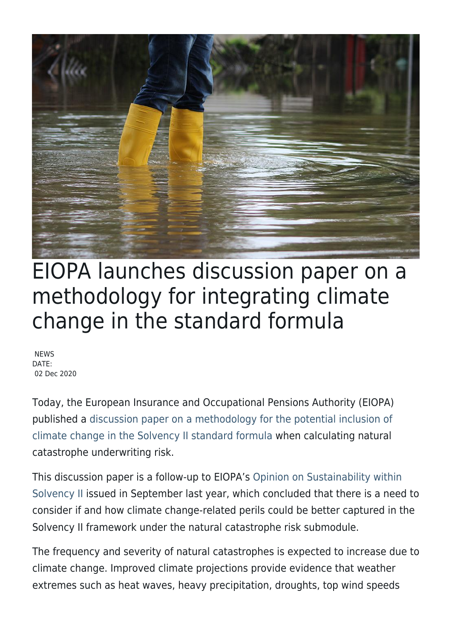

## EIOPA launches discussion paper on a methodology for integrating climate change in the standard formula

**NEWS** DATE: 02 Dec 2020

Today, the European Insurance and Occupational Pensions Authority (EIOPA) published a [discussion paper on a methodology for the potential inclusion of](https://www.eiopa.europa.eu/content/discussion-paper-methodology-potential-inclusion-climate-change-nat-cat-standard-formula_en) [climate change in the Solvency II standard formula](https://www.eiopa.europa.eu/content/discussion-paper-methodology-potential-inclusion-climate-change-nat-cat-standard-formula_en) when calculating natural catastrophe underwriting risk.

This discussion paper is a follow-up to EIOPA's [Opinion on Sustainability within](https://www.eiopa.europa.eu/content/eiopa-issues-opinion-sustainability-within-solvency-ii_en) [Solvency II](https://www.eiopa.europa.eu/content/eiopa-issues-opinion-sustainability-within-solvency-ii_en) issued in September last year, which concluded that there is a need to consider if and how climate change-related perils could be better captured in the Solvency II framework under the natural catastrophe risk submodule.

The frequency and severity of natural catastrophes is expected to increase due to climate change. Improved climate projections provide evidence that weather extremes such as heat waves, heavy precipitation, droughts, top wind speeds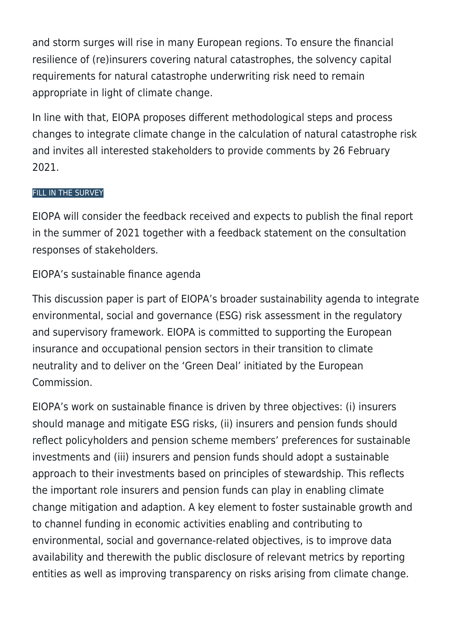and storm surges will rise in many European regions. To ensure the financial resilience of (re)insurers covering natural catastrophes, the solvency capital requirements for natural catastrophe underwriting risk need to remain appropriate in light of climate change.

In line with that, EIOPA proposes different methodological steps and process changes to integrate climate change in the calculation of natural catastrophe risk and invites all interested stakeholders to provide comments by 26 February 2021.

## [FILL IN THE SURVEY](https://ec.europa.eu/eusurvey/runner/b988dfc4-4dbe-16a9-7efc-33c1cd41249a)

EIOPA will consider the feedback received and expects to publish the final report in the summer of 2021 together with a feedback statement on the consultation responses of stakeholders.

## EIOPA's sustainable finance agenda

This discussion paper is part of EIOPA's broader sustainability agenda to integrate environmental, social and governance (ESG) risk assessment in the regulatory and supervisory framework. EIOPA is committed to supporting the European insurance and occupational pension sectors in their transition to climate neutrality and to deliver on the 'Green Deal' initiated by the European Commission.

EIOPA's work on sustainable finance is driven by three objectives: (i) insurers should manage and mitigate ESG risks, (ii) insurers and pension funds should reflect policyholders and pension scheme members' preferences for sustainable investments and (iii) insurers and pension funds should adopt a sustainable approach to their investments based on principles of stewardship. This reflects the important role insurers and pension funds can play in enabling climate change mitigation and adaption. A key element to foster sustainable growth and to channel funding in economic activities enabling and contributing to environmental, social and governance-related objectives, is to improve data availability and therewith the public disclosure of relevant metrics by reporting entities as well as improving transparency on risks arising from climate change.